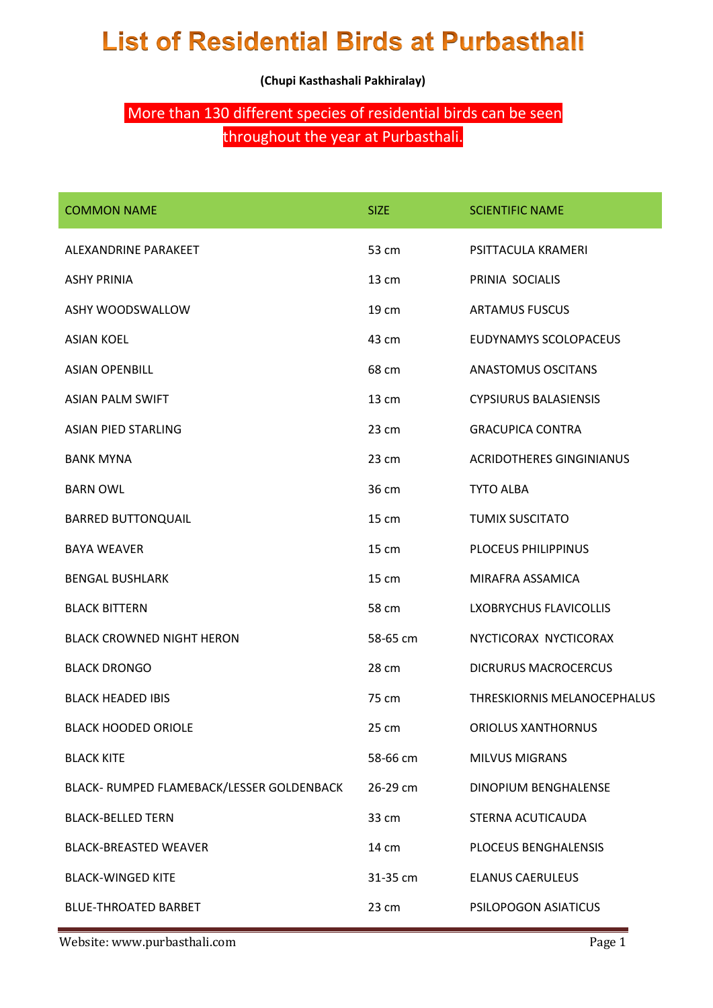## **List of Residential Birds at Purbasthali**

**(Chupi Kasthashali Pakhiralay)**

## More than 130 different species of residential birds can be seen

## throughout the year at Purbasthali.

| <b>COMMON NAME</b>                        | <b>SIZE</b> | <b>SCIENTIFIC NAME</b>          |
|-------------------------------------------|-------------|---------------------------------|
| ALEXANDRINE PARAKEET                      | 53 cm       | PSITTACULA KRAMERI              |
| <b>ASHY PRINIA</b>                        | 13 cm       | PRINIA SOCIALIS                 |
| ASHY WOODSWALLOW                          | 19 cm       | <b>ARTAMUS FUSCUS</b>           |
| <b>ASIAN KOEL</b>                         | 43 cm       | EUDYNAMYS SCOLOPACEUS           |
| <b>ASIAN OPENBILL</b>                     | 68 cm       | <b>ANASTOMUS OSCITANS</b>       |
| <b>ASIAN PALM SWIFT</b>                   | 13 cm       | <b>CYPSIURUS BALASIENSIS</b>    |
| <b>ASIAN PIED STARLING</b>                | 23 cm       | <b>GRACUPICA CONTRA</b>         |
| <b>BANK MYNA</b>                          | 23 cm       | <b>ACRIDOTHERES GINGINIANUS</b> |
| <b>BARN OWL</b>                           | 36 cm       | <b>TYTO ALBA</b>                |
| <b>BARRED BUTTONQUAIL</b>                 | 15 cm       | <b>TUMIX SUSCITATO</b>          |
| <b>BAYA WEAVER</b>                        | 15 cm       | PLOCEUS PHILIPPINUS             |
| <b>BENGAL BUSHLARK</b>                    | 15 cm       | MIRAFRA ASSAMICA                |
| <b>BLACK BITTERN</b>                      | 58 cm       | LXOBRYCHUS FLAVICOLLIS          |
| <b>BLACK CROWNED NIGHT HERON</b>          | 58-65 cm    | NYCTICORAX NYCTICORAX           |
| <b>BLACK DRONGO</b>                       | 28 cm       | <b>DICRURUS MACROCERCUS</b>     |
| <b>BLACK HEADED IBIS</b>                  | 75 cm       | THRESKIORNIS MELANOCEPHALUS     |
| <b>BLACK HOODED ORIOLE</b>                | 25 cm       | <b>ORIOLUS XANTHORNUS</b>       |
| <b>BLACK KITE</b>                         | 58-66 cm    | MILVUS MIGRANS                  |
| BLACK- RUMPED FLAMEBACK/LESSER GOLDENBACK | 26-29 cm    | DINOPIUM BENGHALENSE            |
| <b>BLACK-BELLED TERN</b>                  | 33 cm       | STERNA ACUTICAUDA               |
| <b>BLACK-BREASTED WEAVER</b>              | 14 cm       | PLOCEUS BENGHALENSIS            |
| <b>BLACK-WINGED KITE</b>                  | 31-35 cm    | <b>ELANUS CAERULEUS</b>         |
| <b>BLUE-THROATED BARBET</b>               | 23 cm       | PSILOPOGON ASIATICUS            |

Website: www.purbasthali.com expansion of the page 1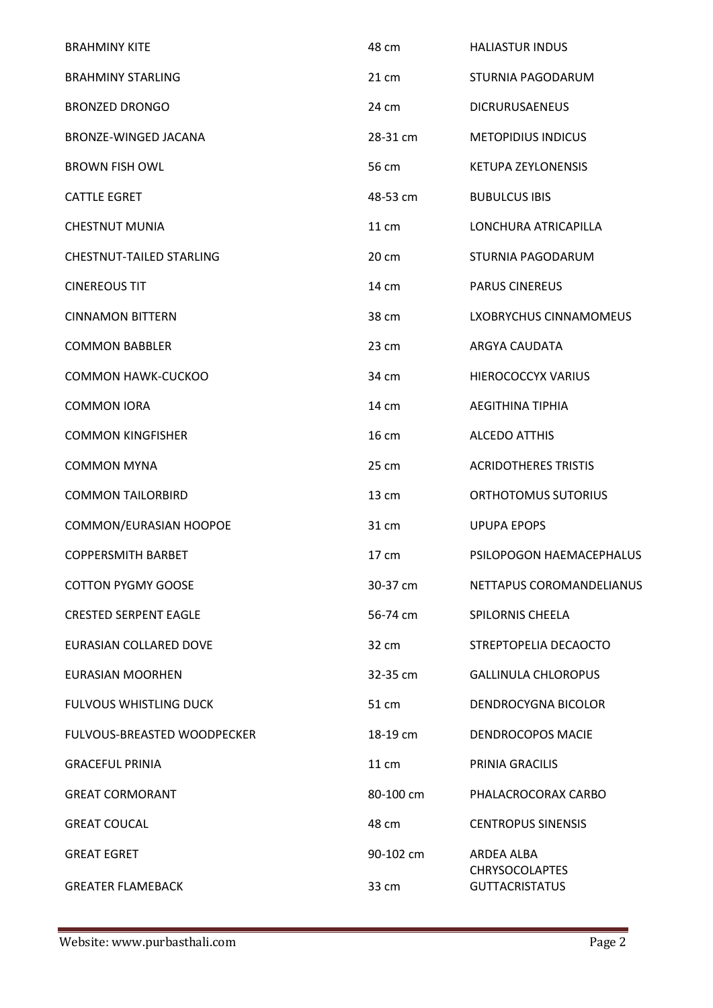| <b>BRAHMINY KITE</b>            | 48 cm     | <b>HALIASTUR INDUS</b>                         |
|---------------------------------|-----------|------------------------------------------------|
| <b>BRAHMINY STARLING</b>        | 21 cm     | STURNIA PAGODARUM                              |
| <b>BRONZED DRONGO</b>           | 24 cm     | <b>DICRURUSAENEUS</b>                          |
| BRONZE-WINGED JACANA            | 28-31 cm  | <b>METOPIDIUS INDICUS</b>                      |
| <b>BROWN FISH OWL</b>           | 56 cm     | <b>KETUPA ZEYLONENSIS</b>                      |
| <b>CATTLE EGRET</b>             | 48-53 cm  | <b>BUBULCUS IBIS</b>                           |
| <b>CHESTNUT MUNIA</b>           | 11 cm     | LONCHURA ATRICAPILLA                           |
| <b>CHESTNUT-TAILED STARLING</b> | 20 cm     | STURNIA PAGODARUM                              |
| <b>CINEREOUS TIT</b>            | 14 cm     | <b>PARUS CINEREUS</b>                          |
| <b>CINNAMON BITTERN</b>         | 38 cm     | <b>LXOBRYCHUS CINNAMOMEUS</b>                  |
| <b>COMMON BABBLER</b>           | 23 cm     | ARGYA CAUDATA                                  |
| <b>COMMON HAWK-CUCKOO</b>       | 34 cm     | HIEROCOCCYX VARIUS                             |
| <b>COMMON IORA</b>              | 14 cm     | <b>AEGITHINA TIPHIA</b>                        |
| <b>COMMON KINGFISHER</b>        | 16 cm     | <b>ALCEDO ATTHIS</b>                           |
| <b>COMMON MYNA</b>              | 25 cm     | <b>ACRIDOTHERES TRISTIS</b>                    |
| <b>COMMON TAILORBIRD</b>        | 13 cm     | ORTHOTOMUS SUTORIUS                            |
| COMMON/EURASIAN HOOPOE          | 31 cm     | <b>UPUPA EPOPS</b>                             |
| <b>COPPERSMITH BARBET</b>       | 17 cm     | PSILOPOGON HAEMACEPHALUS                       |
| <b>COTTON PYGMY GOOSE</b>       | 30-37 cm  | NETTAPUS COROMANDELIANUS                       |
| <b>CRESTED SERPENT EAGLE</b>    | 56-74 cm  | <b>SPILORNIS CHEELA</b>                        |
| EURASIAN COLLARED DOVE          | 32 cm     | STREPTOPELIA DECAOCTO                          |
| <b>EURASIAN MOORHEN</b>         | 32-35 cm  | <b>GALLINULA CHLOROPUS</b>                     |
| <b>FULVOUS WHISTLING DUCK</b>   | 51 cm     | DENDROCYGNA BICOLOR                            |
| FULVOUS-BREASTED WOODPECKER     | 18-19 cm  | <b>DENDROCOPOS MACIE</b>                       |
| <b>GRACEFUL PRINIA</b>          | 11 cm     | PRINIA GRACILIS                                |
| <b>GREAT CORMORANT</b>          | 80-100 cm | PHALACROCORAX CARBO                            |
| <b>GREAT COUCAL</b>             | 48 cm     | <b>CENTROPUS SINENSIS</b>                      |
| <b>GREAT EGRET</b>              | 90-102 cm | ARDEA ALBA                                     |
| <b>GREATER FLAMEBACK</b>        | 33 cm     | <b>CHRYSOCOLAPTES</b><br><b>GUTTACRISTATUS</b> |
|                                 |           |                                                |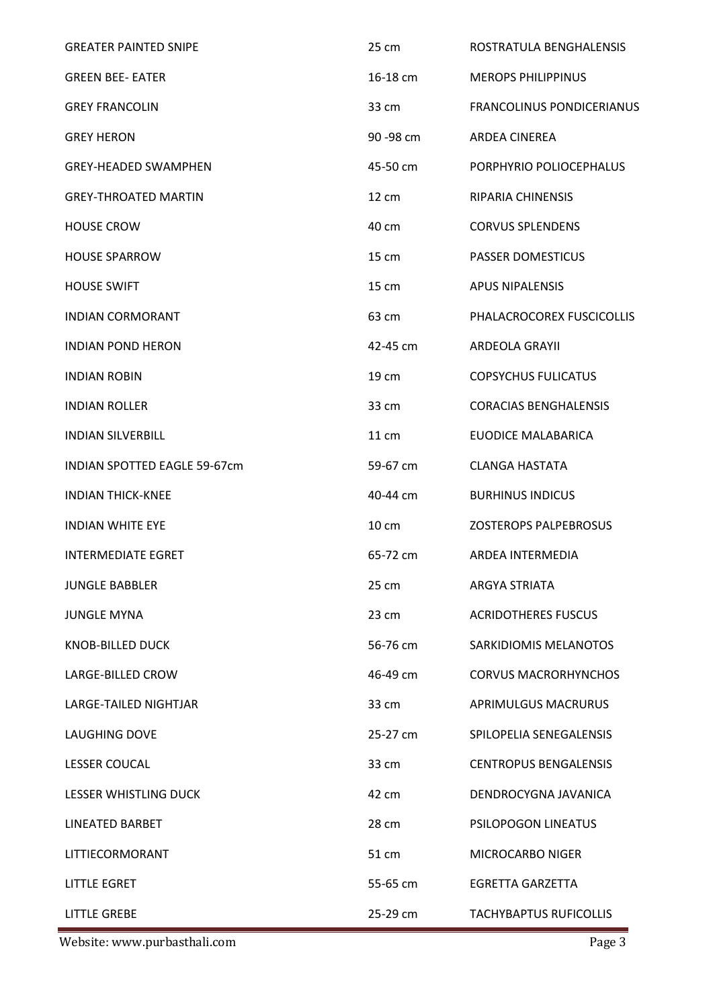| <b>GREATER PAINTED SNIPE</b>        | 25 cm      | ROSTRATULA BENGHALENSIS          |
|-------------------------------------|------------|----------------------------------|
| <b>GREEN BEE- EATER</b>             | 16-18 cm   | <b>MEROPS PHILIPPINUS</b>        |
| <b>GREY FRANCOLIN</b>               | 33 cm      | <b>FRANCOLINUS PONDICERIANUS</b> |
| <b>GREY HERON</b>                   | 90 - 98 cm | <b>ARDEA CINEREA</b>             |
| <b>GREY-HEADED SWAMPHEN</b>         | 45-50 cm   | PORPHYRIO POLIOCEPHALUS          |
| <b>GREY-THROATED MARTIN</b>         | 12 cm      | <b>RIPARIA CHINENSIS</b>         |
| <b>HOUSE CROW</b>                   | 40 cm      | <b>CORVUS SPLENDENS</b>          |
| <b>HOUSE SPARROW</b>                | 15 cm      | <b>PASSER DOMESTICUS</b>         |
| <b>HOUSE SWIFT</b>                  | 15 cm      | <b>APUS NIPALENSIS</b>           |
| <b>INDIAN CORMORANT</b>             | 63 cm      | PHALACROCOREX FUSCICOLLIS        |
| <b>INDIAN POND HERON</b>            | 42-45 cm   | <b>ARDEOLA GRAYII</b>            |
| <b>INDIAN ROBIN</b>                 | 19 cm      | <b>COPSYCHUS FULICATUS</b>       |
| <b>INDIAN ROLLER</b>                | 33 cm      | <b>CORACIAS BENGHALENSIS</b>     |
| <b>INDIAN SILVERBILL</b>            | 11 cm      | EUODICE MALABARICA               |
| <b>INDIAN SPOTTED EAGLE 59-67cm</b> | 59-67 cm   | <b>CLANGA HASTATA</b>            |
| <b>INDIAN THICK-KNEE</b>            | 40-44 cm   | <b>BURHINUS INDICUS</b>          |
| <b>INDIAN WHITE EYE</b>             | 10 cm      | <b>ZOSTEROPS PALPEBROSUS</b>     |
| <b>INTERMEDIATE EGRET</b>           | 65-72 cm   | <b>ARDEA INTERMEDIA</b>          |
| <b>JUNGLE BABBLER</b>               | 25 cm      | <b>ARGYA STRIATA</b>             |
| <b>JUNGLE MYNA</b>                  | 23 cm      | <b>ACRIDOTHERES FUSCUS</b>       |
| KNOB-BILLED DUCK                    | 56-76 cm   | SARKIDIOMIS MELANOTOS            |
| LARGE-BILLED CROW                   | 46-49 cm   | <b>CORVUS MACRORHYNCHOS</b>      |
| LARGE-TAILED NIGHTJAR               | 33 cm      | <b>APRIMULGUS MACRURUS</b>       |
| <b>LAUGHING DOVE</b>                | 25-27 cm   | SPILOPELIA SENEGALENSIS          |
| <b>LESSER COUCAL</b>                | 33 cm      | <b>CENTROPUS BENGALENSIS</b>     |
| LESSER WHISTLING DUCK               | 42 cm      | DENDROCYGNA JAVANICA             |
| <b>LINEATED BARBET</b>              | 28 cm      | <b>PSILOPOGON LINEATUS</b>       |
| LITTIECORMORANT                     | 51 cm      | <b>MICROCARBO NIGER</b>          |
| <b>LITTLE EGRET</b>                 | 55-65 cm   | <b>EGRETTA GARZETTA</b>          |
| <b>LITTLE GREBE</b>                 | 25-29 cm   | <b>TACHYBAPTUS RUFICOLLIS</b>    |

Website: www.purbasthali.com Page 3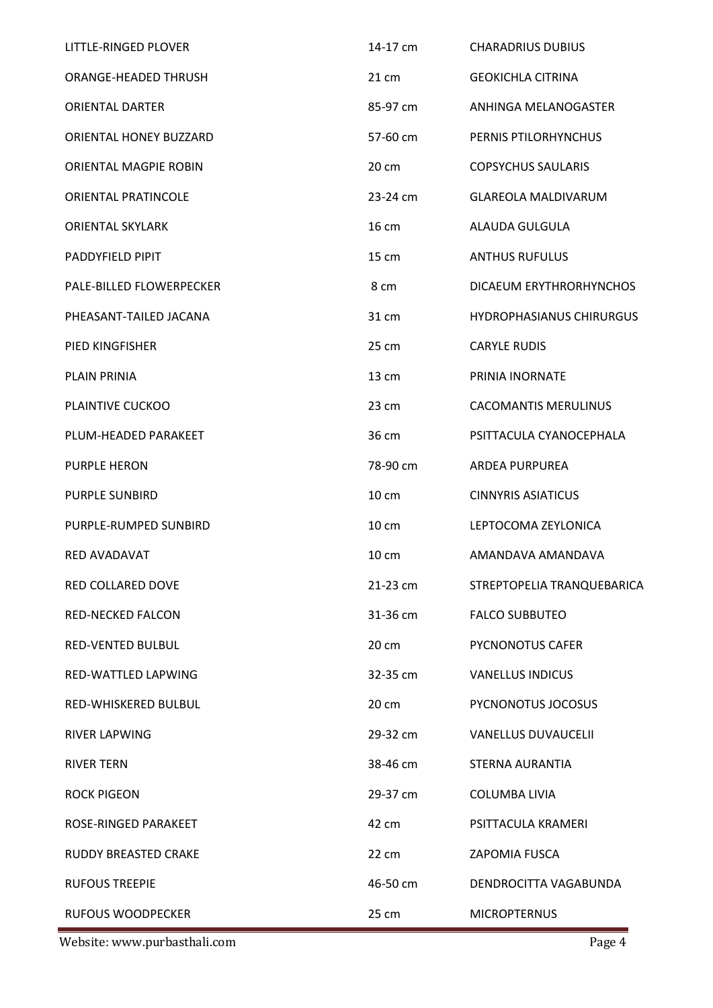| LITTLE-RINGED PLOVER       | 14-17 cm        | <b>CHARADRIUS DUBIUS</b>        |
|----------------------------|-----------------|---------------------------------|
| ORANGE-HEADED THRUSH       | 21 cm           | <b>GEOKICHLA CITRINA</b>        |
| <b>ORIENTAL DARTER</b>     | 85-97 cm        | ANHINGA MELANOGASTER            |
| ORIENTAL HONEY BUZZARD     | 57-60 cm        | PERNIS PTILORHYNCHUS            |
| ORIENTAL MAGPIE ROBIN      | 20 cm           | <b>COPSYCHUS SAULARIS</b>       |
| <b>ORIENTAL PRATINCOLE</b> | 23-24 cm        | <b>GLAREOLA MALDIVARUM</b>      |
| <b>ORIENTAL SKYLARK</b>    | 16 cm           | ALAUDA GULGULA                  |
| PADDYFIELD PIPIT           | 15 cm           | <b>ANTHUS RUFULUS</b>           |
| PALE-BILLED FLOWERPECKER   | 8 cm            | DICAEUM ERYTHRORHYNCHOS         |
| PHEASANT-TAILED JACANA     | 31 cm           | <b>HYDROPHASIANUS CHIRURGUS</b> |
| PIED KINGFISHER            | 25 cm           | <b>CARYLE RUDIS</b>             |
| PLAIN PRINIA               | 13 cm           | PRINIA INORNATE                 |
| PLAINTIVE CUCKOO           | 23 cm           | <b>CACOMANTIS MERULINUS</b>     |
| PLUM-HEADED PARAKEET       | 36 cm           | PSITTACULA CYANOCEPHALA         |
| <b>PURPLE HERON</b>        | 78-90 cm        | <b>ARDEA PURPUREA</b>           |
| <b>PURPLE SUNBIRD</b>      | $10 \text{ cm}$ | <b>CINNYRIS ASIATICUS</b>       |
| PURPLE-RUMPED SUNBIRD      | 10 cm           | LEPTOCOMA ZEYLONICA             |
| <b>RED AVADAVAT</b>        | 10 cm           | AMANDAVA AMANDAVA               |
| RED COLLARED DOVE          | 21-23 cm        | STREPTOPELIA TRANQUEBARICA      |
| <b>RED-NECKED FALCON</b>   | 31-36 cm        | <b>FALCO SUBBUTEO</b>           |
| <b>RED-VENTED BULBUL</b>   | 20 cm           | <b>PYCNONOTUS CAFER</b>         |
| RED-WATTLED LAPWING        | 32-35 cm        | <b>VANELLUS INDICUS</b>         |
| RED-WHISKERED BULBUL       | 20 cm           | PYCNONOTUS JOCOSUS              |
| <b>RIVER LAPWING</b>       | 29-32 cm        | <b>VANELLUS DUVAUCELII</b>      |
| <b>RIVER TERN</b>          | 38-46 cm        | STERNA AURANTIA                 |
| <b>ROCK PIGEON</b>         | 29-37 cm        | <b>COLUMBA LIVIA</b>            |
| ROSE-RINGED PARAKEET       | 42 cm           | PSITTACULA KRAMERI              |
| RUDDY BREASTED CRAKE       | 22 cm           | ZAPOMIA FUSCA                   |
| <b>RUFOUS TREEPIE</b>      | 46-50 cm        | DENDROCITTA VAGABUNDA           |
| <b>RUFOUS WOODPECKER</b>   | 25 cm           | <b>MICROPTERNUS</b>             |

Website: www.purbasthali.com Page 4